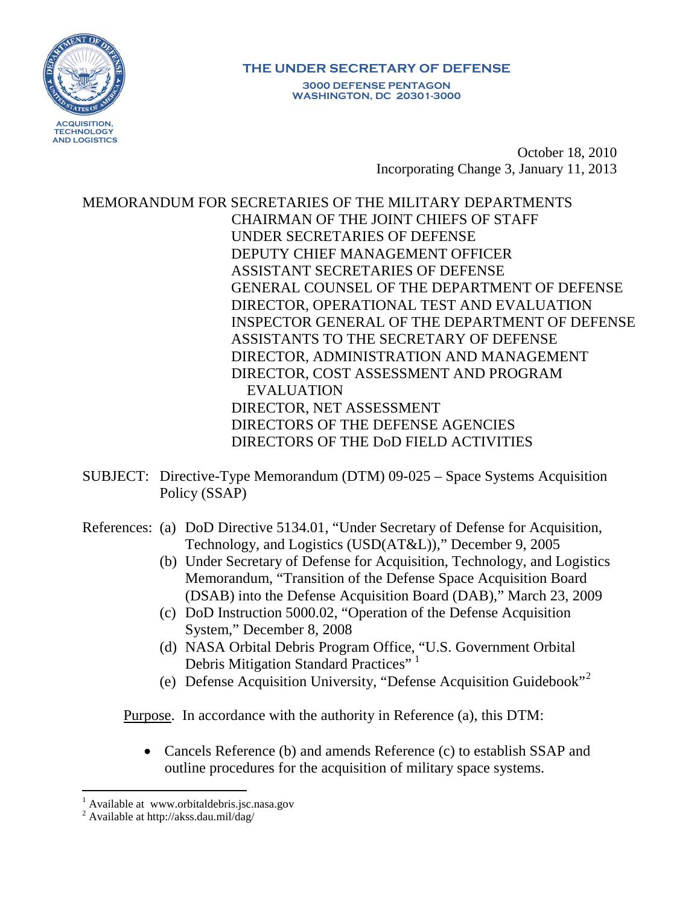

#### **THE UNDER SECRETARY OF DEFENSE 3000 DEFENSE PENTAGON WASHINGTON, DC 20301-3000**

October 18, 2010 Incorporating Change 3, January 11, 2013

MEMORANDUM FOR SECRETARIES OF THE MILITARY DEPARTMENTS CHAIRMAN OF THE JOINT CHIEFS OF STAFF UNDER SECRETARIES OF DEFENSE DEPUTY CHIEF MANAGEMENT OFFICER ASSISTANT SECRETARIES OF DEFENSE GENERAL COUNSEL OF THE DEPARTMENT OF DEFENSE DIRECTOR, OPERATIONAL TEST AND EVALUATION INSPECTOR GENERAL OF THE DEPARTMENT OF DEFENSE ASSISTANTS TO THE SECRETARY OF DEFENSE DIRECTOR, ADMINISTRATION AND MANAGEMENT DIRECTOR, COST ASSESSMENT AND PROGRAM EVALUATION DIRECTOR, NET ASSESSMENT DIRECTORS OF THE DEFENSE AGENCIES DIRECTORS OF THE DoD FIELD ACTIVITIES

- SUBJECT: Directive-Type Memorandum (DTM) 09-025 Space Systems Acquisition Policy (SSAP)
- References: (a) DoD Directive 5134.01, "Under Secretary of Defense for Acquisition, Technology, and Logistics (USD(AT&L))," December 9, 2005
	- (b) Under Secretary of Defense for Acquisition, Technology, and Logistics Memorandum, "Transition of the Defense Space Acquisition Board (DSAB) into the Defense Acquisition Board (DAB)," March 23, 2009
	- (c) DoD Instruction 5000.02, "Operation of the Defense Acquisition System," December 8, 2008
	- (d) NASA Orbital Debris Program Office, "U.S. Government Orbital Debris Mitigation Standard Practices"<sup>[1](#page-0-0)</sup>
	- (e) Defense Acquisition University, "Defense Acquisition Guidebook"[2](#page-0-1)

Purpose. In accordance with the authority in Reference (a), this DTM:

• Cancels Reference (b) and amends Reference (c) to establish SSAP and outline procedures for the acquisition of military space systems.

<span id="page-0-0"></span><sup>&</sup>lt;sup>1</sup> Available at www.orbitaldebris.jsc.nasa.gov  $2$  Available at http://akss.dau.mil/dag/

<span id="page-0-1"></span>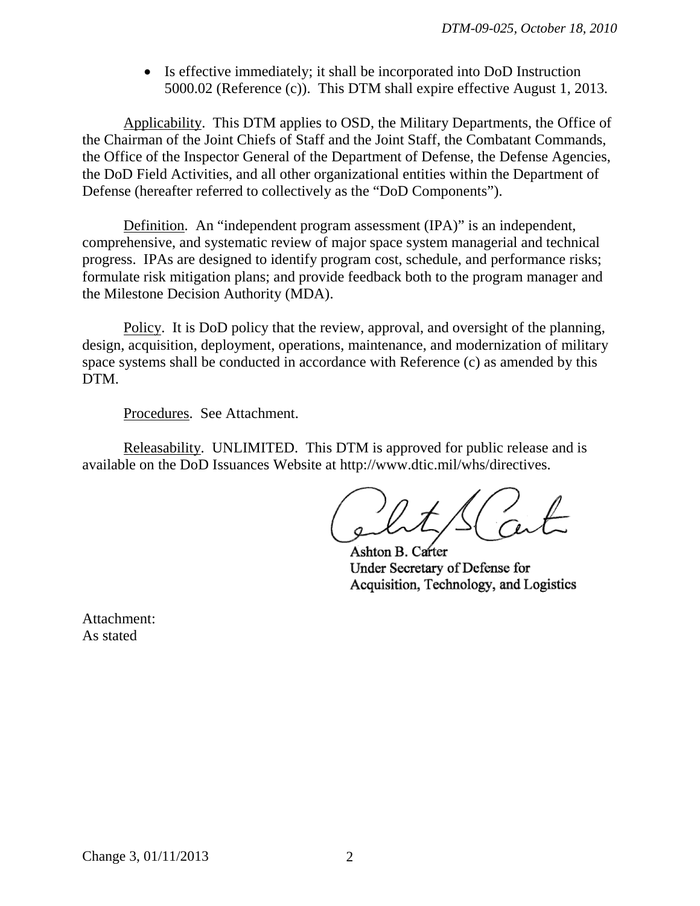• Is effective immediately; it shall be incorporated into DoD Instruction 5000.02 (Reference (c)). This DTM shall expire effective August 1, 2013*.*

Applicability. This DTM applies to OSD, the Military Departments, the Office of the Chairman of the Joint Chiefs of Staff and the Joint Staff, the Combatant Commands, the Office of the Inspector General of the Department of Defense, the Defense Agencies, the DoD Field Activities, and all other organizational entities within the Department of Defense (hereafter referred to collectively as the "DoD Components").

Definition. An "independent program assessment (IPA)" is an independent, comprehensive, and systematic review of major space system managerial and technical progress. IPAs are designed to identify program cost, schedule, and performance risks; formulate risk mitigation plans; and provide feedback both to the program manager and the Milestone Decision Authority (MDA).

Policy. It is DoD policy that the review, approval, and oversight of the planning, design, acquisition, deployment, operations, maintenance, and modernization of military space systems shall be conducted in accordance with Reference (c) as amended by this DTM.

Procedures. See Attachment.

Releasability. UNLIMITED. This DTM is approved for public release and is available on the DoD Issuances Website at http://www.dtic.mil/whs/directives.

Ashton B. Carter Under Secretary of Defense for Acquisition, Technology, and Logistics

Attachment: As stated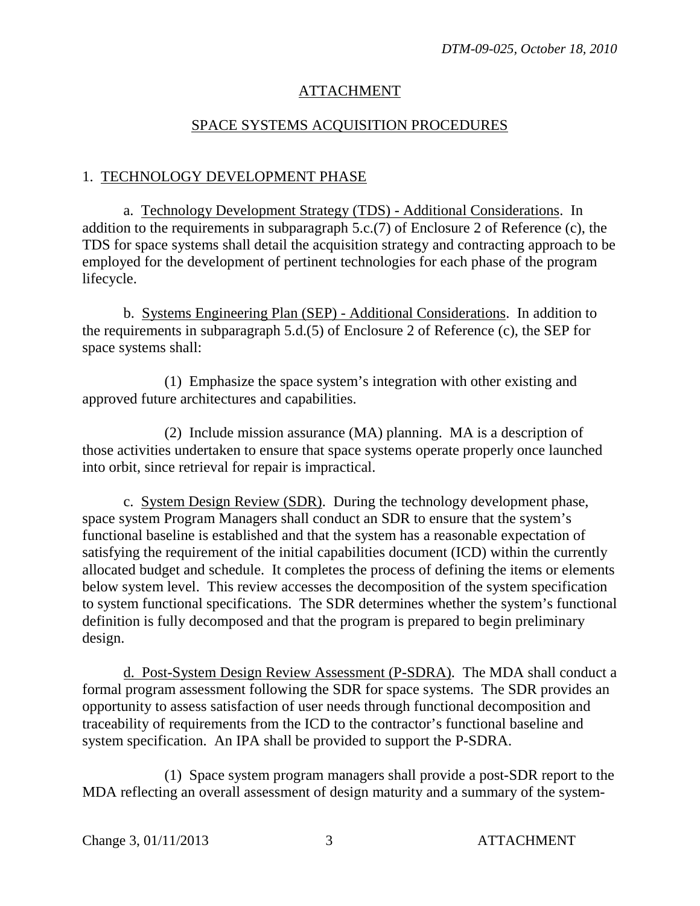## ATTACHMENT

### SPACE SYSTEMS ACQUISITION PROCEDURES

#### 1. TECHNOLOGY DEVELOPMENT PHASE

a. Technology Development Strategy (TDS) - Additional Considerations. In addition to the requirements in subparagraph 5.c.(7) of Enclosure 2 of Reference (c), the TDS for space systems shall detail the acquisition strategy and contracting approach to be employed for the development of pertinent technologies for each phase of the program lifecycle.

b. Systems Engineering Plan (SEP) - Additional Considerations. In addition to the requirements in subparagraph 5.d.(5) of Enclosure 2 of Reference (c), the SEP for space systems shall:

(1) Emphasize the space system's integration with other existing and approved future architectures and capabilities.

(2) Include mission assurance (MA) planning. MA is a description of those activities undertaken to ensure that space systems operate properly once launched into orbit, since retrieval for repair is impractical.

c. System Design Review (SDR). During the technology development phase, space system Program Managers shall conduct an SDR to ensure that the system's functional baseline is established and that the system has a reasonable expectation of satisfying the requirement of the initial capabilities document (ICD) within the currently allocated budget and schedule. It completes the process of defining the items or elements below system level. This review accesses the decomposition of the system specification to system functional specifications. The SDR determines whether the system's functional definition is fully decomposed and that the program is prepared to begin preliminary design.

d. Post-System Design Review Assessment (P-SDRA). The MDA shall conduct a formal program assessment following the SDR for space systems. The SDR provides an opportunity to assess satisfaction of user needs through functional decomposition and traceability of requirements from the ICD to the contractor's functional baseline and system specification. An IPA shall be provided to support the P-SDRA.

(1) Space system program managers shall provide a post-SDR report to the MDA reflecting an overall assessment of design maturity and a summary of the system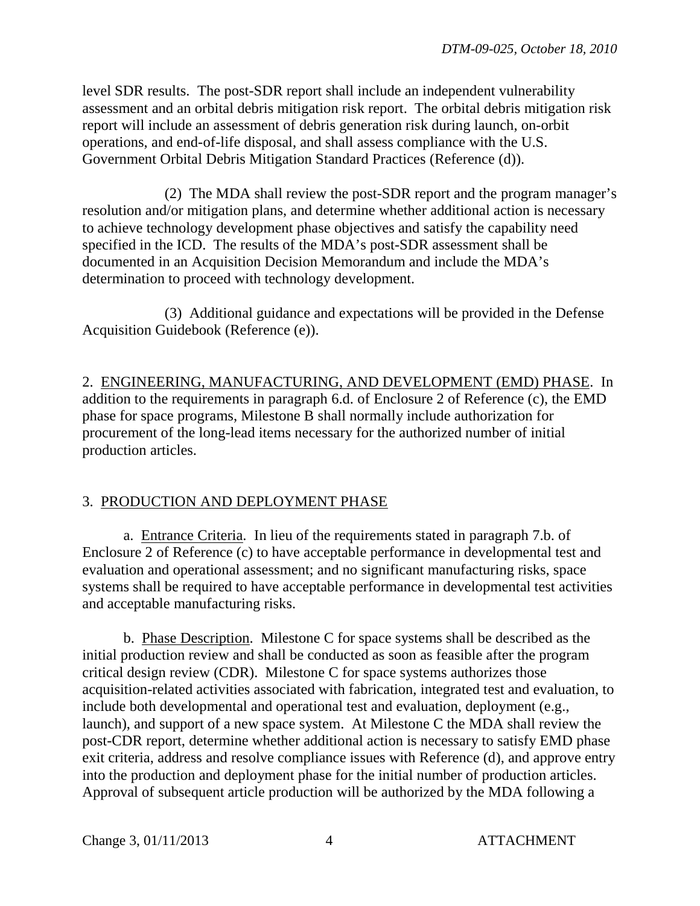level SDR results. The post-SDR report shall include an independent vulnerability assessment and an orbital debris mitigation risk report. The orbital debris mitigation risk report will include an assessment of debris generation risk during launch, on-orbit operations, and end-of-life disposal, and shall assess compliance with the U.S. Government Orbital Debris Mitigation Standard Practices (Reference (d)).

(2) The MDA shall review the post-SDR report and the program manager's resolution and/or mitigation plans, and determine whether additional action is necessary to achieve technology development phase objectives and satisfy the capability need specified in the ICD. The results of the MDA's post-SDR assessment shall be documented in an Acquisition Decision Memorandum and include the MDA's determination to proceed with technology development.

(3) Additional guidance and expectations will be provided in the Defense Acquisition Guidebook (Reference (e)).

2. ENGINEERING, MANUFACTURING, AND DEVELOPMENT (EMD) PHASE. In addition to the requirements in paragraph 6.d. of Enclosure 2 of Reference (c), the EMD phase for space programs, Milestone B shall normally include authorization for procurement of the long-lead items necessary for the authorized number of initial production articles.

# 3. PRODUCTION AND DEPLOYMENT PHASE

a. Entrance Criteria. In lieu of the requirements stated in paragraph 7.b. of Enclosure 2 of Reference (c) to have acceptable performance in developmental test and evaluation and operational assessment; and no significant manufacturing risks, space systems shall be required to have acceptable performance in developmental test activities and acceptable manufacturing risks.

b. Phase Description. Milestone C for space systems shall be described as the initial production review and shall be conducted as soon as feasible after the program critical design review (CDR). Milestone C for space systems authorizes those acquisition-related activities associated with fabrication, integrated test and evaluation, to include both developmental and operational test and evaluation, deployment (e.g., launch), and support of a new space system. At Milestone C the MDA shall review the post-CDR report, determine whether additional action is necessary to satisfy EMD phase exit criteria, address and resolve compliance issues with Reference (d), and approve entry into the production and deployment phase for the initial number of production articles. Approval of subsequent article production will be authorized by the MDA following a